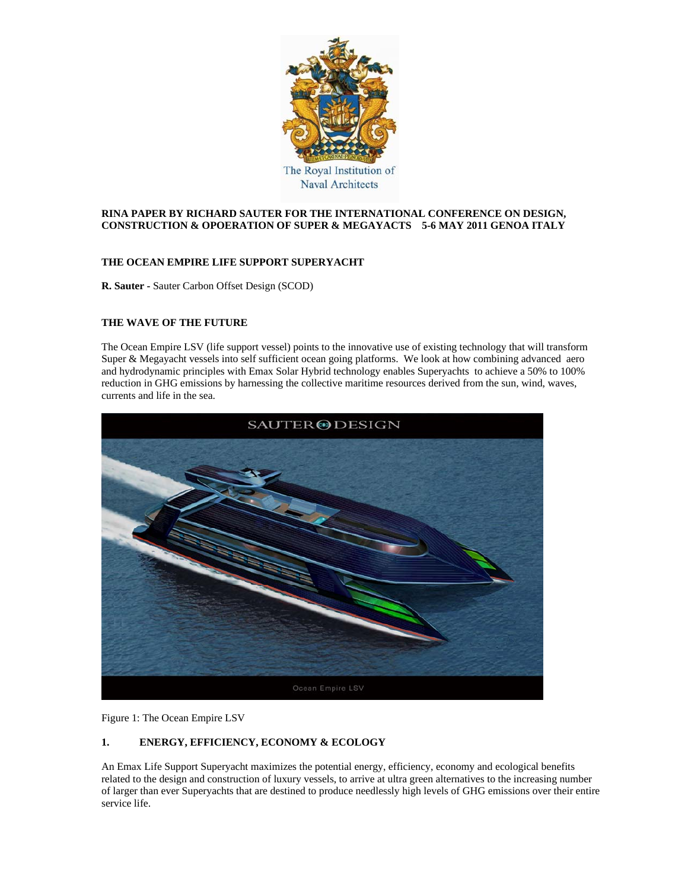

## **RINA PAPER BY RICHARD SAUTER FOR THE INTERNATIONAL CONFERENCE ON DESIGN, CONSTRUCTION & OPOERATION OF SUPER & MEGAYACTS 5-6 MAY 2011 GENOA ITALY**

## **THE OCEAN EMPIRE LIFE SUPPORT SUPERYACHT**

**R. Sauter -** Sauter Carbon Offset Design (SCOD)

## **THE WAVE OF THE FUTURE**

The Ocean Empire LSV (life support vessel) points to the innovative use of existing technology that will transform Super & Megayacht vessels into self sufficient ocean going platforms. We look at how combining advanced aero and hydrodynamic principles with Emax Solar Hybrid technology enables Superyachts to achieve a 50% to 100% reduction in GHG emissions by harnessing the collective maritime resources derived from the sun, wind, waves, currents and life in the sea.



Figure 1: The Ocean Empire LSV

# **1. ENERGY, EFFICIENCY, ECONOMY & ECOLOGY**

An Emax Life Support Superyacht maximizes the potential energy, efficiency, economy and ecological benefits related to the design and construction of luxury vessels, to arrive at ultra green alternatives to the increasing number of larger than ever Superyachts that are destined to produce needlessly high levels of GHG emissions over their entire service life.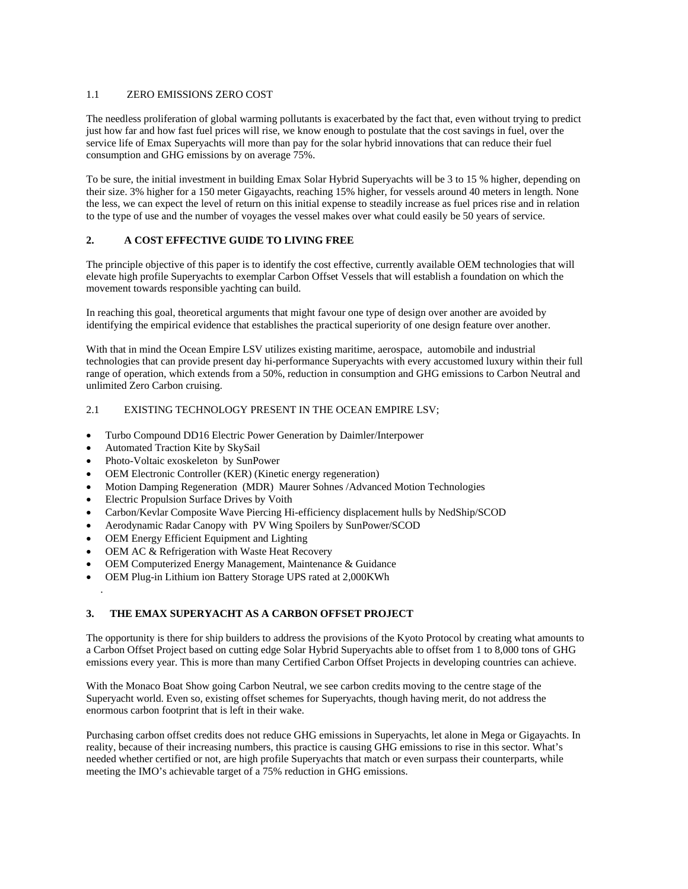#### 1.1 ZERO EMISSIONS ZERO COST

The needless proliferation of global warming pollutants is exacerbated by the fact that, even without trying to predict just how far and how fast fuel prices will rise, we know enough to postulate that the cost savings in fuel, over the service life of Emax Superyachts will more than pay for the solar hybrid innovations that can reduce their fuel consumption and GHG emissions by on average 75%.

To be sure, the initial investment in building Emax Solar Hybrid Superyachts will be 3 to 15 % higher, depending on their size. 3% higher for a 150 meter Gigayachts, reaching 15% higher, for vessels around 40 meters in length. None the less, we can expect the level of return on this initial expense to steadily increase as fuel prices rise and in relation to the type of use and the number of voyages the vessel makes over what could easily be 50 years of service.

## **2. A COST EFFECTIVE GUIDE TO LIVING FREE**

The principle objective of this paper is to identify the cost effective, currently available OEM technologies that will elevate high profile Superyachts to exemplar Carbon Offset Vessels that will establish a foundation on which the movement towards responsible yachting can build.

In reaching this goal, theoretical arguments that might favour one type of design over another are avoided by identifying the empirical evidence that establishes the practical superiority of one design feature over another.

With that in mind the Ocean Empire LSV utilizes existing maritime, aerospace, automobile and industrial technologies that can provide present day hi-performance Superyachts with every accustomed luxury within their full range of operation, which extends from a 50%, reduction in consumption and GHG emissions to Carbon Neutral and unlimited Zero Carbon cruising.

### 2.1 EXISTING TECHNOLOGY PRESENT IN THE OCEAN EMPIRE LSV:

- Turbo Compound DD16 Electric Power Generation by Daimler/Interpower
- Automated Traction Kite by SkySail

.

- Photo-Voltaic exoskeleton by SunPower
- OEM Electronic Controller (KER) (Kinetic energy regeneration)
- Motion Damping Regeneration (MDR) Maurer Sohnes /Advanced Motion Technologies
- Electric Propulsion Surface Drives by Voith
- Carbon/Kevlar Composite Wave Piercing Hi-efficiency displacement hulls by NedShip/SCOD
- Aerodynamic Radar Canopy with PV Wing Spoilers by SunPower/SCOD
- OEM Energy Efficient Equipment and Lighting
- OEM AC & Refrigeration with Waste Heat Recovery
- OEM Computerized Energy Management, Maintenance & Guidance
- OEM Plug-in Lithium ion Battery Storage UPS rated at 2,000KWh

### **3. THE EMAX SUPERYACHT AS A CARBON OFFSET PROJECT**

The opportunity is there for ship builders to address the provisions of the Kyoto Protocol by creating what amounts to a Carbon Offset Project based on cutting edge Solar Hybrid Superyachts able to offset from 1 to 8,000 tons of GHG emissions every year. This is more than many Certified Carbon Offset Projects in developing countries can achieve.

With the Monaco Boat Show going Carbon Neutral, we see carbon credits moving to the centre stage of the Superyacht world. Even so, existing offset schemes for Superyachts, though having merit, do not address the enormous carbon footprint that is left in their wake.

Purchasing carbon offset credits does not reduce GHG emissions in Superyachts, let alone in Mega or Gigayachts. In reality, because of their increasing numbers, this practice is causing GHG emissions to rise in this sector. What's needed whether certified or not, are high profile Superyachts that match or even surpass their counterparts, while meeting the IMO's achievable target of a 75% reduction in GHG emissions.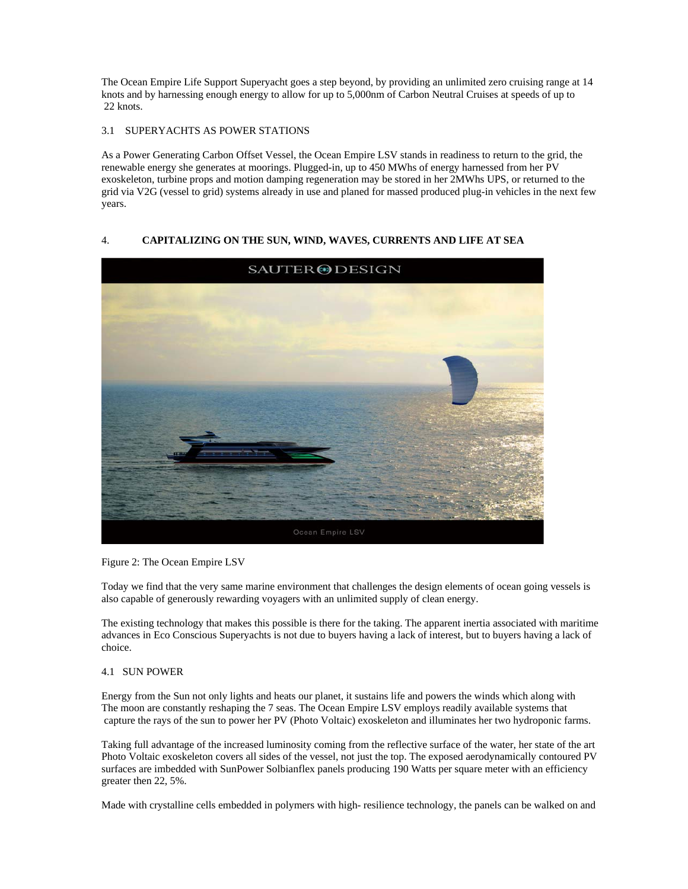The Ocean Empire Life Support Superyacht goes a step beyond, by providing an unlimited zero cruising range at 14 knots and by harnessing enough energy to allow for up to 5,000nm of Carbon Neutral Cruises at speeds of up to 22 knots.

## 3.1 SUPERYACHTS AS POWER STATIONS

As a Power Generating Carbon Offset Vessel, the Ocean Empire LSV stands in readiness to return to the grid, the renewable energy she generates at moorings. Plugged-in, up to 450 MWhs of energy harnessed from her PV exoskeleton, turbine props and motion damping regeneration may be stored in her 2MWhs UPS, or returned to the grid via V2G (vessel to grid) systems already in use and planed for massed produced plug-in vehicles in the next few years.

# 4. **CAPITALIZING ON THE SUN, WIND, WAVES, CURRENTS AND LIFE AT SEA**



Figure 2: The Ocean Empire LSV

Today we find that the very same marine environment that challenges the design elements of ocean going vessels is also capable of generously rewarding voyagers with an unlimited supply of clean energy.

The existing technology that makes this possible is there for the taking. The apparent inertia associated with maritime advances in Eco Conscious Superyachts is not due to buyers having a lack of interest, but to buyers having a lack of choice.

#### 4.1SUN POWER

Energy from the Sun not only lights and heats our planet, it sustains life and powers the winds which along with The moon are constantly reshaping the 7 seas. The Ocean Empire LSV employs readily available systems that capture the rays of the sun to power her PV (Photo Voltaic) exoskeleton and illuminates her two hydroponic farms.

Taking full advantage of the increased luminosity coming from the reflective surface of the water, her state of the art Photo Voltaic exoskeleton covers all sides of the vessel, not just the top. The exposed aerodynamically contoured PV surfaces are imbedded with SunPower Solbianflex panels producing 190 Watts per square meter with an efficiency greater then 22, 5%.

Made with crystalline cells embedded in polymers with high- resilience technology, the panels can be walked on and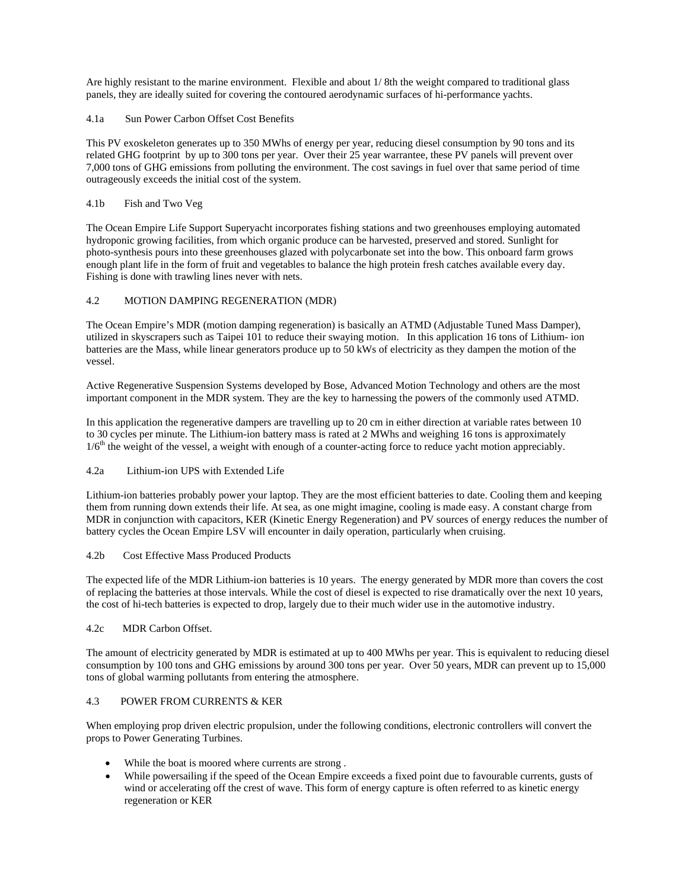Are highly resistant to the marine environment. Flexible and about 1/ 8th the weight compared to traditional glass panels, they are ideally suited for covering the contoured aerodynamic surfaces of hi-performance yachts.

### 4.1a Sun Power Carbon Offset Cost Benefits

This PV exoskeleton generates up to 350 MWhs of energy per year, reducing diesel consumption by 90 tons and its related GHG footprint by up to 300 tons per year. Over their 25 year warrantee, these PV panels will prevent over 7,000 tons of GHG emissions from polluting the environment. The cost savings in fuel over that same period of time outrageously exceeds the initial cost of the system.

### 4.1b Fish and Two Veg

The Ocean Empire Life Support Superyacht incorporates fishing stations and two greenhouses employing automated hydroponic growing facilities, from which organic produce can be harvested, preserved and stored. Sunlight for photo-synthesis pours into these greenhouses glazed with polycarbonate set into the bow. This onboard farm grows enough plant life in the form of fruit and vegetables to balance the high protein fresh catches available every day. Fishing is done with trawling lines never with nets.

## 4.2 MOTION DAMPING REGENERATION (MDR)

The Ocean Empire's MDR (motion damping regeneration) is basically an ATMD (Adjustable Tuned Mass Damper), utilized in skyscrapers such as Taipei 101 to reduce their swaying motion. In this application 16 tons of Lithium- ion batteries are the Mass, while linear generators produce up to 50 kWs of electricity as they dampen the motion of the vessel.

Active Regenerative Suspension Systems developed by Bose, Advanced Motion Technology and others are the most important component in the MDR system. They are the key to harnessing the powers of the commonly used ATMD.

In this application the regenerative dampers are travelling up to 20 cm in either direction at variable rates between 10 to 30 cycles per minute. The Lithium-ion battery mass is rated at 2 MWhs and weighing 16 tons is approximately  $1/6<sup>th</sup>$  the weight of the vessel, a weight with enough of a counter-acting force to reduce yacht motion appreciably.

# 4.2a Lithium-ion UPS with Extended Life

Lithium-ion batteries probably power your laptop. They are the most efficient batteries to date. Cooling them and keeping them from running down extends their life. At sea, as one might imagine, cooling is made easy. A constant charge from MDR in conjunction with capacitors, KER (Kinetic Energy Regeneration) and PV sources of energy reduces the number of battery cycles the Ocean Empire LSV will encounter in daily operation, particularly when cruising.

### 4.2b Cost Effective Mass Produced Products

The expected life of the MDR Lithium-ion batteries is 10 years. The energy generated by MDR more than covers the cost of replacing the batteries at those intervals. While the cost of diesel is expected to rise dramatically over the next 10 years, the cost of hi-tech batteries is expected to drop, largely due to their much wider use in the automotive industry.

#### 4.2c MDR Carbon Offset.

The amount of electricity generated by MDR is estimated at up to 400 MWhs per year. This is equivalent to reducing diesel consumption by 100 tons and GHG emissions by around 300 tons per year. Over 50 years, MDR can prevent up to 15,000 tons of global warming pollutants from entering the atmosphere.

#### 4.3 POWER FROM CURRENTS & KER

When employing prop driven electric propulsion, under the following conditions, electronic controllers will convert the props to Power Generating Turbines.

- While the boat is moored where currents are strong.
- While powersailing if the speed of the Ocean Empire exceeds a fixed point due to favourable currents, gusts of wind or accelerating off the crest of wave. This form of energy capture is often referred to as kinetic energy regeneration or KER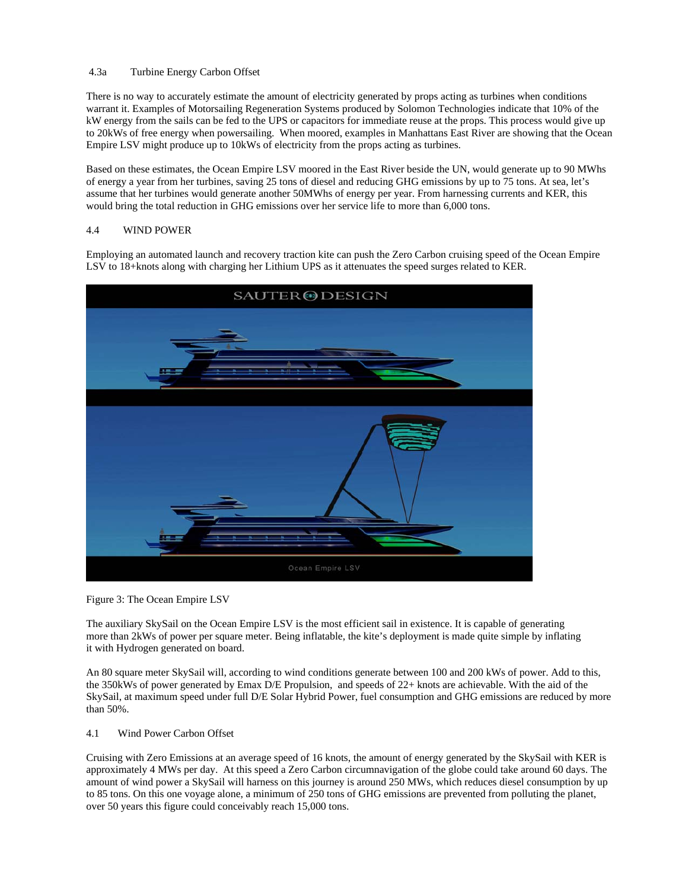#### 4.3a Turbine Energy Carbon Offset

There is no way to accurately estimate the amount of electricity generated by props acting as turbines when conditions warrant it. Examples of Motorsailing Regeneration Systems produced by Solomon Technologies indicate that 10% of the kW energy from the sails can be fed to the UPS or capacitors for immediate reuse at the props. This process would give up to 20kWs of free energy when powersailing. When moored, examples in Manhattans East River are showing that the Ocean Empire LSV might produce up to 10kWs of electricity from the props acting as turbines.

Based on these estimates, the Ocean Empire LSV moored in the East River beside the UN, would generate up to 90 MWhs of energy a year from her turbines, saving 25 tons of diesel and reducing GHG emissions by up to 75 tons. At sea, let's assume that her turbines would generate another 50MWhs of energy per year. From harnessing currents and KER, this would bring the total reduction in GHG emissions over her service life to more than 6,000 tons.

# 4.4 WIND POWER

Employing an automated launch and recovery traction kite can push the Zero Carbon cruising speed of the Ocean Empire LSV to 18+knots along with charging her Lithium UPS as it attenuates the speed surges related to KER.



Figure 3: The Ocean Empire LSV

The auxiliary SkySail on the Ocean Empire LSV is the most efficient sail in existence. It is capable of generating more than 2kWs of power per square meter. Being inflatable, the kite's deployment is made quite simple by inflating it with Hydrogen generated on board.

An 80 square meter SkySail will, according to wind conditions generate between 100 and 200 kWs of power. Add to this, the 350kWs of power generated by Emax D/E Propulsion, and speeds of 22+ knots are achievable. With the aid of the SkySail, at maximum speed under full D/E Solar Hybrid Power, fuel consumption and GHG emissions are reduced by more than 50%.

4.1 Wind Power Carbon Offset

Cruising with Zero Emissions at an average speed of 16 knots, the amount of energy generated by the SkySail with KER is approximately 4 MWs per day. At this speed a Zero Carbon circumnavigation of the globe could take around 60 days. The amount of wind power a SkySail will harness on this journey is around 250 MWs, which reduces diesel consumption by up to 85 tons. On this one voyage alone, a minimum of 250 tons of GHG emissions are prevented from polluting the planet, over 50 years this figure could conceivably reach 15,000 tons.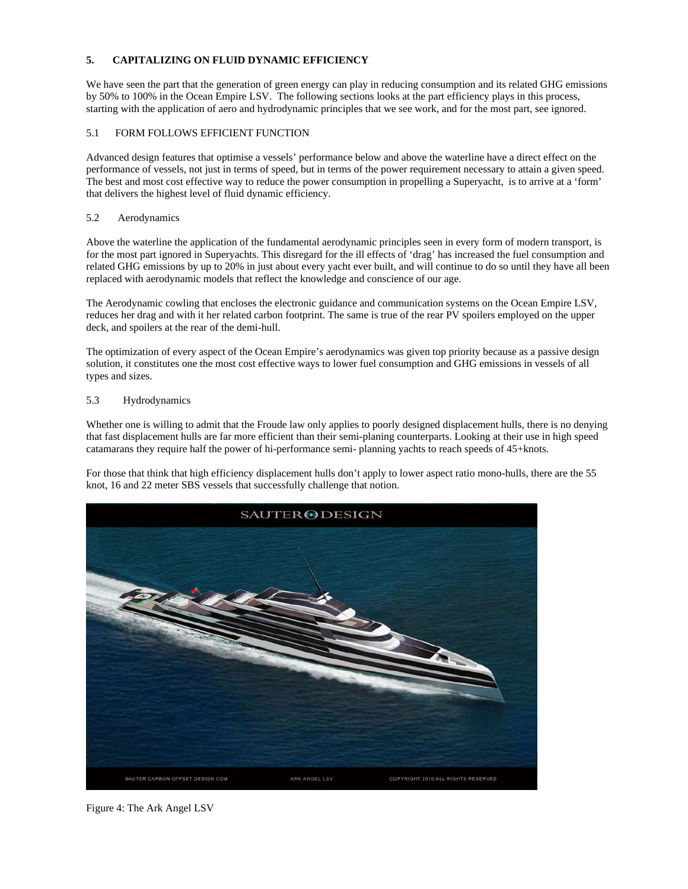## **5. CAPITALIZING ON FLUID DYNAMIC EFFICIENCY**

We have seen the part that the generation of green energy can play in reducing consumption and its related GHG emissions by 50% to 100% in the Ocean Empire LSV. The following sections looks at the part efficiency plays in this process, starting with the application of aero and hydrodynamic principles that we see work, and for the most part, see ignored.

### 5.1 FORM FOLLOWS EFFICIENT FUNCTION

Advanced design features that optimise a vessels' performance below and above the waterline have a direct effect on the performance of vessels, not just in terms of speed, but in terms of the power requirement necessary to attain a given speed. The best and most cost effective way to reduce the power consumption in propelling a Superyacht, is to arrive at a 'form' that delivers the highest level of fluid dynamic efficiency.

### 5.2 Aerodynamics

Above the waterline the application of the fundamental aerodynamic principles seen in every form of modern transport, is for the most part ignored in Superyachts. This disregard for the ill effects of 'drag' has increased the fuel consumption and related GHG emissions by up to 20% in just about every yacht ever built, and will continue to do so until they have all been replaced with aerodynamic models that reflect the knowledge and conscience of our age.

The Aerodynamic cowling that encloses the electronic guidance and communication systems on the Ocean Empire LSV, reduces her drag and with it her related carbon footprint. The same is true of the rear PV spoilers employed on the upper deck, and spoilers at the rear of the demi-hull.

The optimization of every aspect of the Ocean Empire's aerodynamics was given top priority because as a passive design solution, it constitutes one the most cost effective ways to lower fuel consumption and GHG emissions in vessels of all types and sizes.

#### 5.3 Hydrodynamics

Whether one is willing to admit that the Froude law only applies to poorly designed displacement hulls, there is no denying that fast displacement hulls are far more efficient than their semi-planing counterparts. Looking at their use in high speed catamarans they require half the power of hi-performance semi- planning yachts to reach speeds of 45+knots.

For those that think that high efficiency displacement hulls don't apply to lower aspect ratio mono-hulls, there are the 55 knot, 16 and 22 meter SBS vessels that successfully challenge that notion.



Figure 4: The Ark Angel LSV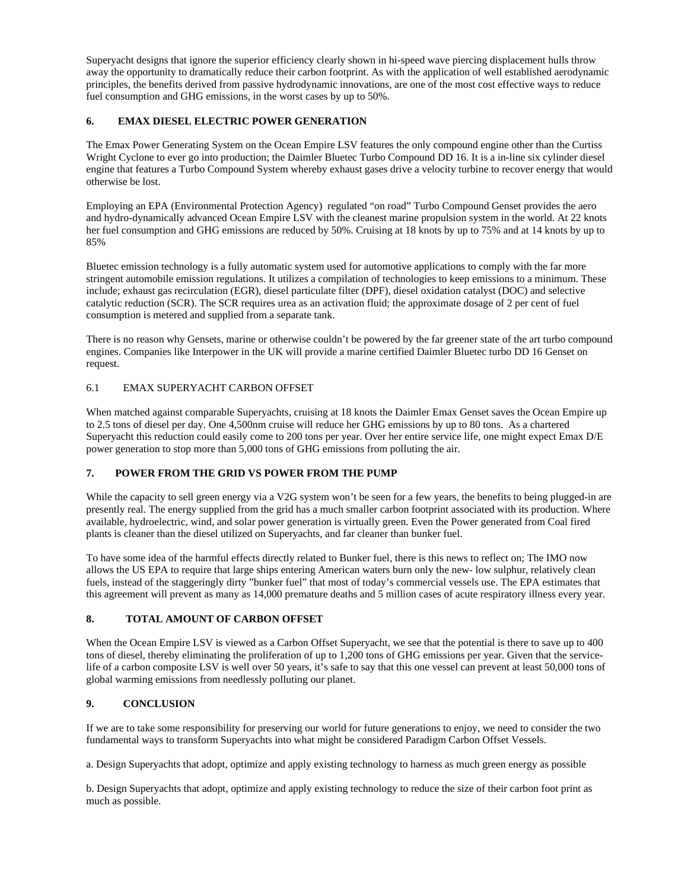Superyacht designs that ignore the superior efficiency clearly shown in hi-speed wave piercing displacement hulls throw away the opportunity to dramatically reduce their carbon footprint. As with the application of well established aerodynamic principles, the benefits derived from passive hydrodynamic innovations, are one of the most cost effective ways to reduce fuel consumption and GHG emissions, in the worst cases by up to 50%.

# **6. EMAX DIESEL ELECTRIC POWER GENERATION**

The Emax Power Generating System on the Ocean Empire LSV features the only compound engine other than the Curtiss Wright Cyclone to ever go into production; the Daimler Bluetec Turbo Compound DD 16. It is a in-line six cylinder diesel engine that features a Turbo Compound System whereby exhaust gases drive a velocity turbine to recover energy that would otherwise be lost.

Employing an EPA (Environmental Protection Agency) regulated "on road" Turbo Compound Genset provides the aero and hydro-dynamically advanced Ocean Empire LSV with the cleanest marine propulsion system in the world. At 22 knots her fuel consumption and GHG emissions are reduced by 50%. Cruising at 18 knots by up to 75% and at 14 knots by up to 85%

Bluetec emission technology is a fully automatic system used for automotive applications to comply with the far more stringent automobile emission regulations. It utilizes a compilation of technologies to keep emissions to a minimum. These include; exhaust gas recirculation (EGR), diesel particulate filter (DPF), diesel oxidation catalyst (DOC) and selective catalytic reduction (SCR). The SCR requires urea as an activation fluid; the approximate dosage of 2 per cent of fuel consumption is metered and supplied from a separate tank.

There is no reason why Gensets, marine or otherwise couldn't be powered by the far greener state of the art turbo compound engines. Companies like Interpower in the UK will provide a marine certified Daimler Bluetec turbo DD 16 Genset on request.

## 6.1 EMAX SUPERYACHT CARBON OFFSET

When matched against comparable Superyachts, cruising at 18 knots the Daimler Emax Genset saves the Ocean Empire up to 2.5 tons of diesel per day. One 4,500nm cruise will reduce her GHG emissions by up to 80 tons. As a chartered Superyacht this reduction could easily come to 200 tons per year. Over her entire service life, one might expect Emax D/E power generation to stop more than 5,000 tons of GHG emissions from polluting the air.

# **7. POWER FROM THE GRID VS POWER FROM THE PUMP**

While the capacity to sell green energy via a V2G system won't be seen for a few years, the benefits to being plugged-in are presently real. The energy supplied from the grid has a much smaller carbon footprint associated with its production. Where available, hydroelectric, wind, and solar power generation is virtually green. Even the Power generated from Coal fired plants is cleaner than the diesel utilized on Superyachts, and far cleaner than bunker fuel.

To have some idea of the harmful effects directly related to Bunker fuel, there is this news to reflect on; The IMO now allows the US EPA to require that large ships entering American waters burn only the new- low sulphur, relatively clean fuels, instead of the staggeringly dirty "bunker fuel" that most of today's commercial vessels use. The EPA estimates that this agreement will prevent as many as 14,000 premature deaths and 5 million cases of acute respiratory illness every year.

# **8. TOTAL AMOUNT OF CARBON OFFSET**

When the Ocean Empire LSV is viewed as a Carbon Offset Superyacht, we see that the potential is there to save up to 400 tons of diesel, thereby eliminating the proliferation of up to 1,200 tons of GHG emissions per year. Given that the servicelife of a carbon composite LSV is well over 50 years, it's safe to say that this one vessel can prevent at least 50,000 tons of global warming emissions from needlessly polluting our planet.

# **9. CONCLUSION**

If we are to take some responsibility for preserving our world for future generations to enjoy, we need to consider the two fundamental ways to transform Superyachts into what might be considered Paradigm Carbon Offset Vessels.

a. Design Superyachts that adopt, optimize and apply existing technology to harness as much green energy as possible

b. Design Superyachts that adopt, optimize and apply existing technology to reduce the size of their carbon foot print as much as possible.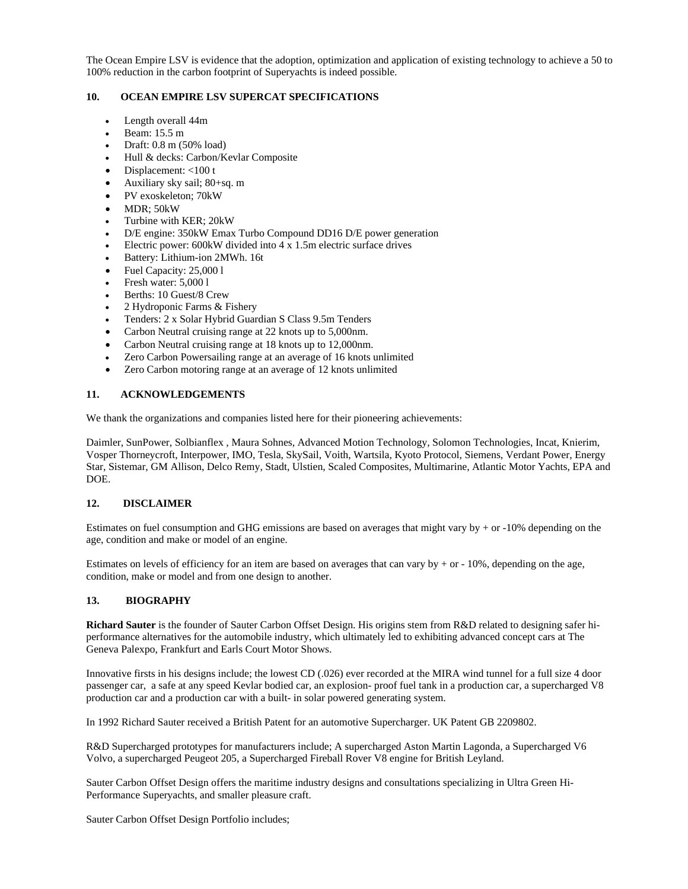The Ocean Empire LSV is evidence that the adoption, optimization and application of existing technology to achieve a 50 to 100% reduction in the carbon footprint of Superyachts is indeed possible.

# **10. OCEAN EMPIRE LSV SUPERCAT SPECIFICATIONS**

- Length overall 44m
- Beam: 15.5 m
- Draft: 0.8 m (50% load)
- Hull & decks: Carbon/Kevlar Composite
- Displacement: <100 t
- Auxiliary sky sail; 80+sq. m
- PV exoskeleton; 70kW
- $\bullet$  MDR: 50 kW
- Turbine with KER; 20kW
- D/E engine: 350kW Emax Turbo Compound DD16 D/E power generation
- Electric power: 600kW divided into 4 x 1.5m electric surface drives
- Battery: Lithium-ion 2MWh. 16t
- Fuel Capacity: 25,000 l
- Fresh water: 5,000 l
- Berths: 10 Guest/8 Crew
- 2 Hydroponic Farms & Fishery
- Tenders: 2 x Solar Hybrid Guardian S Class 9.5m Tenders
- Carbon Neutral cruising range at 22 knots up to 5,000nm.
- Carbon Neutral cruising range at 18 knots up to 12,000nm.
- Zero Carbon Powersailing range at an average of 16 knots unlimited
- Zero Carbon motoring range at an average of 12 knots unlimited

#### **11. ACKNOWLEDGEMENTS**

We thank the organizations and companies listed here for their pioneering achievements:

Daimler, SunPower, Solbianflex , Maura Sohnes, Advanced Motion Technology, Solomon Technologies, Incat, Knierim, Vosper Thorneycroft, Interpower, IMO, Tesla, SkySail, Voith, Wartsila, Kyoto Protocol, Siemens, Verdant Power, Energy Star, Sistemar, GM Allison, Delco Remy, Stadt, Ulstien, Scaled Composites, Multimarine, Atlantic Motor Yachts, EPA and DOE.

#### **12. DISCLAIMER**

Estimates on fuel consumption and GHG emissions are based on averages that might vary by + or -10% depending on the age, condition and make or model of an engine.

Estimates on levels of efficiency for an item are based on averages that can vary by  $+$  or  $-$  10%, depending on the age, condition, make or model and from one design to another.

#### **13. BIOGRAPHY**

**Richard Sauter** is the founder of Sauter Carbon Offset Design. His origins stem from R&D related to designing safer hiperformance alternatives for the automobile industry, which ultimately led to exhibiting advanced concept cars at The Geneva Palexpo, Frankfurt and Earls Court Motor Shows.

Innovative firsts in his designs include; the lowest CD (.026) ever recorded at the MIRA wind tunnel for a full size 4 door passenger car, a safe at any speed Kevlar bodied car, an explosion- proof fuel tank in a production car, a supercharged V8 production car and a production car with a built- in solar powered generating system.

In 1992 Richard Sauter received a British Patent for an automotive Supercharger. UK Patent GB 2209802.

R&D Supercharged prototypes for manufacturers include; A supercharged Aston Martin Lagonda, a Supercharged V6 Volvo, a supercharged Peugeot 205, a Supercharged Fireball Rover V8 engine for British Leyland.

Sauter Carbon Offset Design offers the maritime industry designs and consultations specializing in Ultra Green Hi-Performance Superyachts, and smaller pleasure craft.

Sauter Carbon Offset Design Portfolio includes;